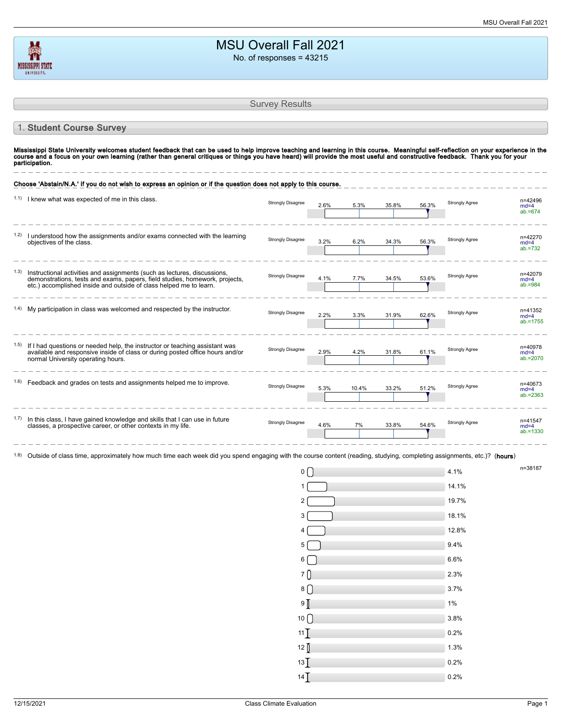| <b>MSU Overall Fall 2021</b> |
|------------------------------|
| No. of responses $= 43215$   |

|      |                                                                                                                                                                                                                                                                                                                                                                                     | <b>Survey Results</b>    |      |       |       |       |                       |                                  |
|------|-------------------------------------------------------------------------------------------------------------------------------------------------------------------------------------------------------------------------------------------------------------------------------------------------------------------------------------------------------------------------------------|--------------------------|------|-------|-------|-------|-----------------------|----------------------------------|
|      | 1. Student Course Survey                                                                                                                                                                                                                                                                                                                                                            |                          |      |       |       |       |                       |                                  |
|      | Mississippi State University welcomes student feedback that can be used to help improve teaching and learning in this course. Meaningful self-reflection on your experience in the<br>course and a focus on your own learning (rather than general critiques or things you have heard) will provide the most useful and constructive feedback. Thank you for your<br>participation. |                          |      |       |       |       |                       |                                  |
|      | Choose 'Abstain/N.A.' if you do not wish to express an opinion or if the question does not apply to this course.                                                                                                                                                                                                                                                                    |                          |      |       |       |       |                       |                                  |
|      | 1.1) I knew what was expected of me in this class.                                                                                                                                                                                                                                                                                                                                  | <b>Strongly Disagree</b> | 2.6% | 5.3%  | 35.8% | 56.3% | Strongly Agree        | n=42496<br>$md=4$<br>$ab = 674$  |
| 1.2) | I understood how the assignments and/or exams connected with the learning<br>objectives of the class.                                                                                                                                                                                                                                                                               | <b>Strongly Disagree</b> | 3.2% | 6.2%  | 34.3% | 56.3% | <b>Strongly Agree</b> | n=42270<br>$md=4$<br>$ab = 732$  |
| 1.3) | Instructional activities and assignments (such as lectures, discussions,<br>demonstrations, tests and exams, papers, field studies, homework, projects,<br>etc.) accomplished inside and outside of class helped me to learn.                                                                                                                                                       | <b>Strongly Disagree</b> | 4.1% | 7.7%  | 34.5% | 53.6% | Strongly Agree        | n=42079<br>$md=4$<br>$ab = 984$  |
|      | My participation in class was welcomed and respected by the instructor.                                                                                                                                                                                                                                                                                                             | <b>Strongly Disagree</b> | 2.2% | 3.3%  | 31.9% | 62.6% | <b>Strongly Agree</b> | n=41352<br>$md=4$<br>$ab = 1755$ |
| 1.5) | If I had questions or needed help, the instructor or teaching assistant was<br>available and responsive inside of class or during posted office hours and/or<br>normal University operating hours.                                                                                                                                                                                  | <b>Strongly Disagree</b> | 2.9% | 4.2%  | 31.8% | 61.1% | Strongly Agree        | n=40978<br>$md=4$<br>$ab = 2070$ |
|      | Feedback and grades on tests and assignments helped me to improve.                                                                                                                                                                                                                                                                                                                  | <b>Strongly Disagree</b> | 5.3% | 10.4% | 33.2% | 51.2% | <b>Strongly Agree</b> | n=40673<br>$md=4$<br>$ab = 2363$ |
| 1.7) | In this class, I have gained knowledge and skills that I can use in future<br>classes, a prospective career, or other contexts in my life.                                                                                                                                                                                                                                          | <b>Strongly Disagree</b> | 4.6% | 7%    | 33.8% | 54.6% | <b>Strongly Agree</b> | n=41547<br>$md=4$<br>$ab = 1330$ |
|      | <sup>1.8)</sup> Outside of class time, approximately how much time each week did you spend engaging with the course content (reading, studying, completing assignments, etc.)? (hours)                                                                                                                                                                                              |                          |      |       |       |       |                       |                                  |
|      |                                                                                                                                                                                                                                                                                                                                                                                     | $0 \mid$                 |      |       |       |       | 4.1%                  | n=38187                          |
|      |                                                                                                                                                                                                                                                                                                                                                                                     |                          |      |       |       |       | 14.1%                 |                                  |
|      |                                                                                                                                                                                                                                                                                                                                                                                     | 2                        |      |       |       |       | 19.7%                 |                                  |
|      |                                                                                                                                                                                                                                                                                                                                                                                     | 3                        |      |       |       |       | 18.1%                 |                                  |
|      |                                                                                                                                                                                                                                                                                                                                                                                     |                          |      |       |       |       | 12.8%                 |                                  |
|      |                                                                                                                                                                                                                                                                                                                                                                                     | 5                        |      |       |       |       | 9.4%                  |                                  |
|      |                                                                                                                                                                                                                                                                                                                                                                                     | 6                        |      |       |       |       | 6.6%                  |                                  |

MISSISSIPPI STATE

7 2.3%  $8 \cup$  3.7%  $9 \boxed{1\%}$  $10 \cup 3.8\%$  $11$  0.2%  $12 \int$  1.3%  $13$  0.2%  $14$   $\sqrt{ }$  0.2%